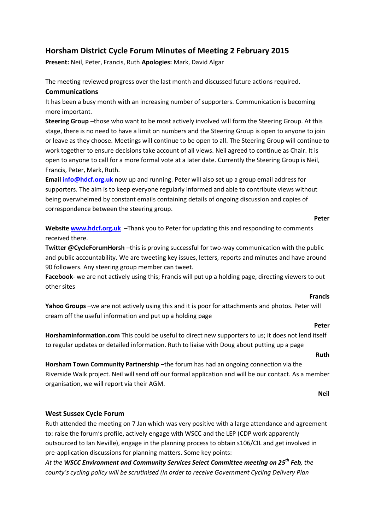# **Horsham District Cycle Forum Minutes of Meeting 2 February 2015**

**Present:** Neil, Peter, Francis, Ruth **Apologies:** Mark, David Algar

The meeting reviewed progress over the last month and discussed future actions required.

### **Communications**

It has been a busy month with an increasing number of supporters. Communication is becoming more important.

**Steering Group** –those who want to be most actively involved will form the Steering Group. At this stage, there is no need to have a limit on numbers and the Steering Group is open to anyone to join or leave as they choose. Meetings will continue to be open to all. The Steering Group will continue to work together to ensure decisions take account of all views. Neil agreed to continue as Chair. It is open to anyone to call for a more formal vote at a later date. Currently the Steering Group is Neil, Francis, Peter, Mark, Ruth.

**Email [info@hdcf.org.uk](mailto:info@hdcf.org.uk)** now up and running. Peter will also set up a group email address for supporters. The aim is to keep everyone regularly informed and able to contribute views without being overwhelmed by constant emails containing details of ongoing discussion and copies of correspondence between the steering group.

#### **Peter**

**Website [www.hdcf.org.uk](http://www.hdcf.org.uk/)** –Thank you to Peter for updating this and responding to comments received there.

**Twitter @CycleForumHorsh** –this is proving successful for two-way communication with the public and public accountability. We are tweeting key issues, letters, reports and minutes and have around 90 followers. Any steering group member can tweet.

**Facebook**- we are not actively using this; Francis will put up a holding page, directing viewers to out other sites

#### **Francis**

**Yahoo Groups** –we are not actively using this and it is poor for attachments and photos. Peter will cream off the useful information and put up a holding page

#### **Peter**

**Horshaminformation.com** This could be useful to direct new supporters to us; it does not lend itself to regular updates or detailed information. Ruth to liaise with Doug about putting up a page

### **Ruth**

**Horsham Town Community Partnership** -the forum has had an ongoing connection via the Riverside Walk project. Neil will send off our formal application and will be our contact. As a member organisation, we will report via their AGM.

#### **Neil**

### **West Sussex Cycle Forum**

Ruth attended the meeting on 7 Jan which was very positive with a large attendance and agreement to: raise the forum's profile, actively engage with WSCC and the LEP (CDP work apparently outsourced to Ian Neville), engage in the planning process to obtain s106/CIL and get involved in pre-application discussions for planning matters. Some key points:

*At the WSCC Environment and Community Services Select Committee meeting on 25 th Feb, the county's cycling policy will be scrutinised (in order to receive Government Cycling Delivery Plan*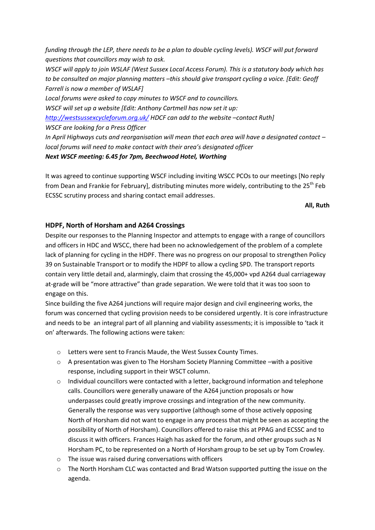*funding through the LEP, there needs to be a plan to double cycling levels). WSCF will put forward questions that councillors may wish to ask.*

*WSCF will apply to join WSLAF (West Sussex Local Access Forum). This is a statutory body which has to be consulted on major planning matters –this should give transport cycling a voice. [Edit: Geoff Farrell is now a member of WSLAF]*

*Local forums were asked to copy minutes to WSCF and to councillors. WSCF will set up a website [Edit: Anthony Cartmell has now set it up: <http://westsussexcycleforum.org.uk/> HDCF can add to the website –contact Ruth] WSCF are looking for a Press Officer*

*In April Highways cuts and reorganisation will mean that each area will have a designated contact – local forums will need to make contact with their area's designated officer* 

*Next WSCF meeting: 6.45 for 7pm, Beechwood Hotel, Worthing*

It was agreed to continue supporting WSCF including inviting WSCC PCOs to our meetings [No reply from Dean and Frankie for February], distributing minutes more widely, contributing to the 25<sup>th</sup> Feb ECSSC scrutiny process and sharing contact email addresses.

**All, Ruth**

## **HDPF, North of Horsham and A264 Crossings**

Despite our responses to the Planning Inspector and attempts to engage with a range of councillors and officers in HDC and WSCC, there had been no acknowledgement of the problem of a complete lack of planning for cycling in the HDPF. There was no progress on our proposal to strengthen Policy 39 on Sustainable Transport or to modify the HDPF to allow a cycling SPD. The transport reports contain very little detail and, alarmingly, claim that crossing the 45,000+ vpd A264 dual carriageway at-grade will be "more attractive" than grade separation. We were told that it was too soon to engage on this.

Since building the five A264 junctions will require major design and civil engineering works, the forum was concerned that cycling provision needs to be considered urgently. It is core infrastructure and needs to be an integral part of all planning and viability assessments; it is impossible to 'tack it on' afterwards. The following actions were taken:

- o Letters were sent to Francis Maude, the West Sussex County Times.
- $\circ$  A presentation was given to The Horsham Society Planning Committee –with a positive response, including support in their WSCT column.
- $\circ$  Individual councillors were contacted with a letter, background information and telephone calls. Councillors were generally unaware of the A264 junction proposals or how underpasses could greatly improve crossings and integration of the new community. Generally the response was very supportive (although some of those actively opposing North of Horsham did not want to engage in any process that might be seen as accepting the possibility of North of Horsham). Councillors offered to raise this at PPAG and ECSSC and to discuss it with officers. Frances Haigh has asked for the forum, and other groups such as N Horsham PC, to be represented on a North of Horsham group to be set up by Tom Crowley.
- o The issue was raised during conversations with officers
- $\circ$  The North Horsham CLC was contacted and Brad Watson supported putting the issue on the agenda.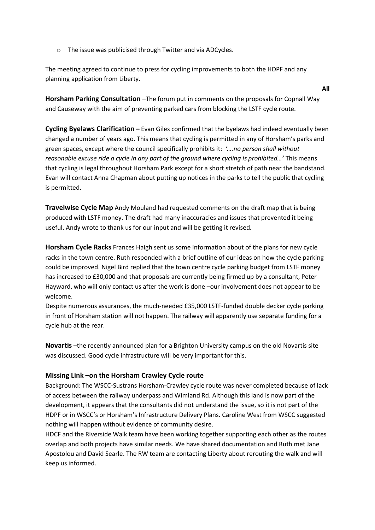o The issue was publicised through Twitter and via ADCycles.

The meeting agreed to continue to press for cycling improvements to both the HDPF and any planning application from Liberty.

**Horsham Parking Consultation** –The forum put in comments on the proposals for Copnall Way and Causeway with the aim of preventing parked cars from blocking the LSTF cycle route.

**Cycling Byelaws Clarification –** Evan Giles confirmed that the byelaws had indeed eventually been changed a number of years ago. This means that cycling is permitted in any of Horsham's parks and green spaces, except where the council specifically prohibits it: *'….no person shall without reasonable excuse ride a cycle in any part of the ground where cycling is prohibited…'* This means that cycling is legal throughout Horsham Park except for a short stretch of path near the bandstand. Evan will contact Anna Chapman about putting up notices in the parks to tell the public that cycling is permitted.

**Travelwise Cycle Map** Andy Mouland had requested comments on the draft map that is being produced with LSTF money. The draft had many inaccuracies and issues that prevented it being useful. Andy wrote to thank us for our input and will be getting it revised.

**Horsham Cycle Racks** Frances Haigh sent us some information about of the plans for new cycle racks in the town centre. Ruth responded with a brief outline of our ideas on how the cycle parking could be improved. Nigel Bird replied that the town centre cycle parking budget from LSTF money has increased to £30,000 and that proposals are currently being firmed up by a consultant, Peter Hayward, who will only contact us after the work is done -our involvement does not appear to be welcome.

Despite numerous assurances, the much-needed £35,000 LSTF-funded double decker cycle parking in front of Horsham station will not happen. The railway will apparently use separate funding for a cycle hub at the rear.

**Novartis** –the recently announced plan for a Brighton University campus on the old Novartis site was discussed. Good cycle infrastructure will be very important for this.

### **Missing Link –on the Horsham Crawley Cycle route**

Background: The WSCC-Sustrans Horsham-Crawley cycle route was never completed because of lack of access between the railway underpass and Wimland Rd. Although this land is now part of the development, it appears that the consultants did not understand the issue, so it is not part of the HDPF or in WSCC's or Horsham's Infrastructure Delivery Plans. Caroline West from WSCC suggested nothing will happen without evidence of community desire.

HDCF and the Riverside Walk team have been working together supporting each other as the routes overlap and both projects have similar needs. We have shared documentation and Ruth met Jane Apostolou and David Searle. The RW team are contacting Liberty about rerouting the walk and will keep us informed.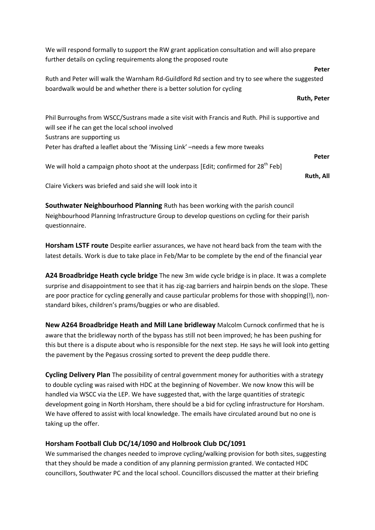We will respond formally to support the RW grant application consultation and will also prepare further details on cycling requirements along the proposed route

Ruth and Peter will walk the Warnham Rd-Guildford Rd section and try to see where the suggested

**Peter**

boardwalk would be and whether there is a better solution for cycling **Ruth, Peter** Phil Burroughs from WSCC/Sustrans made a site visit with Francis and Ruth. Phil is supportive and will see if he can get the local school involved Sustrans are supporting us Peter has drafted a leaflet about the 'Missing Link' –needs a few more tweaks **Peter** We will hold a campaign photo shoot at the underpass [Edit; confirmed for  $28^{th}$  Feb] **Ruth, All** Claire Vickers was briefed and said she will look into it

**Southwater Neighbourhood Planning** Ruth has been working with the parish council Neighbourhood Planning Infrastructure Group to develop questions on cycling for their parish questionnaire.

**Horsham LSTF route** Despite earlier assurances, we have not heard back from the team with the latest details. Work is due to take place in Feb/Mar to be complete by the end of the financial year

**A24 Broadbridge Heath cycle bridge** The new 3m wide cycle bridge is in place. It was a complete surprise and disappointment to see that it has zig-zag barriers and hairpin bends on the slope. These are poor practice for cycling generally and cause particular problems for those with shopping(!), nonstandard bikes, children's prams/buggies or who are disabled.

**New A264 Broadbridge Heath and Mill Lane bridleway** Malcolm Curnock confirmed that he is aware that the bridleway north of the bypass has still not been improved; he has been pushing for this but there is a dispute about who is responsible for the next step. He says he will look into getting the pavement by the Pegasus crossing sorted to prevent the deep puddle there.

**Cycling Delivery Plan** The possibility of central government money for authorities with a strategy to double cycling was raised with HDC at the beginning of November. We now know this will be handled via WSCC via the LEP. We have suggested that, with the large quantities of strategic development going in North Horsham, there should be a bid for cycling infrastructure for Horsham. We have offered to assist with local knowledge. The emails have circulated around but no one is taking up the offer.

### **Horsham Football Club DC/14/1090 and Holbrook Club DC/1091**

We summarised the changes needed to improve cycling/walking provision for both sites, suggesting that they should be made a condition of any planning permission granted. We contacted HDC councillors, Southwater PC and the local school. Councillors discussed the matter at their briefing